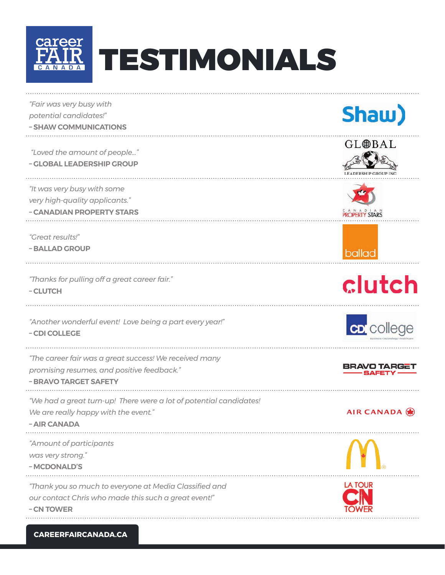

| "Fair was very busy with<br>potential candidates!"                 | Shaw)               |
|--------------------------------------------------------------------|---------------------|
| - SHAW COMMUNICATIONS                                              |                     |
|                                                                    | GL⊕BAL              |
| "Loved the amount of people"                                       |                     |
| - GLOBAL LEADERSHIP GROUP                                          |                     |
| "It was very busy with some                                        |                     |
| very high-quality applicants."                                     |                     |
| - CANADIAN PROPERTY STARS                                          |                     |
| "Great results!"                                                   |                     |
| - BALLAD GROUP                                                     | ballad              |
|                                                                    |                     |
| "Thanks for pulling off a great career fair."                      | clutch              |
| - CLUTCH                                                           |                     |
|                                                                    |                     |
| "Another wonderful event! Love being a part every year!"           |                     |
| - CDI COLLEGE                                                      | <b>CD</b> college   |
|                                                                    |                     |
| "The career fair was a great success! We received many             | <b>BRAVO TARGET</b> |
| promising resumes, and positive feedback."                         | SAFETY              |
| - BRAVO TARGET SAFETY                                              |                     |
| "We had a great turn-up! There were a lot of potential candidates! |                     |
| We are really happy with the event."                               | AIR CANADA          |
| - AIR CANADA                                                       |                     |
| "Amount of participants                                            |                     |
| was very strong."                                                  |                     |
| - MCDONALD'S                                                       |                     |
| "Thank you so much to everyone at Media Classified and             | LA TOUR             |
| our contact Chris who made this such a great event!"               |                     |
| - CN TOWER                                                         |                     |
|                                                                    |                     |

**CAREERFAIRCANADA.CA**